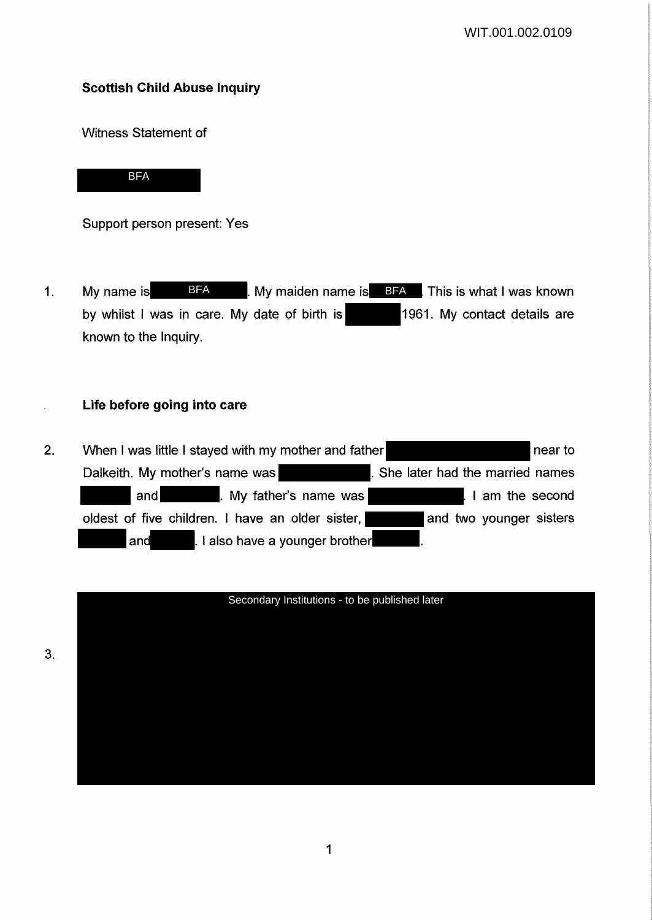# **Scottish Child Abuse Inquiry**

Witness Statement of

**BFA** 

Support person present: Yes

1. My name is **BFA** BEA By maiden name is **BFA** This is what I was known by whilst I was in care. My date of birth is 1961. My contact details are known to the Inquiry.

### **Life before going into care**

2. When I was little I stayed with my mother and father near to near to Dalkeith. My mother's name was **... She later had the married names** and . My father's name was I am the second oldest of five children. I have an older sister, and two younger sisters and **.** I also have a younger brother

### Secondary Institutions - to be published later

3.

 $\ddot{\phantom{a}}$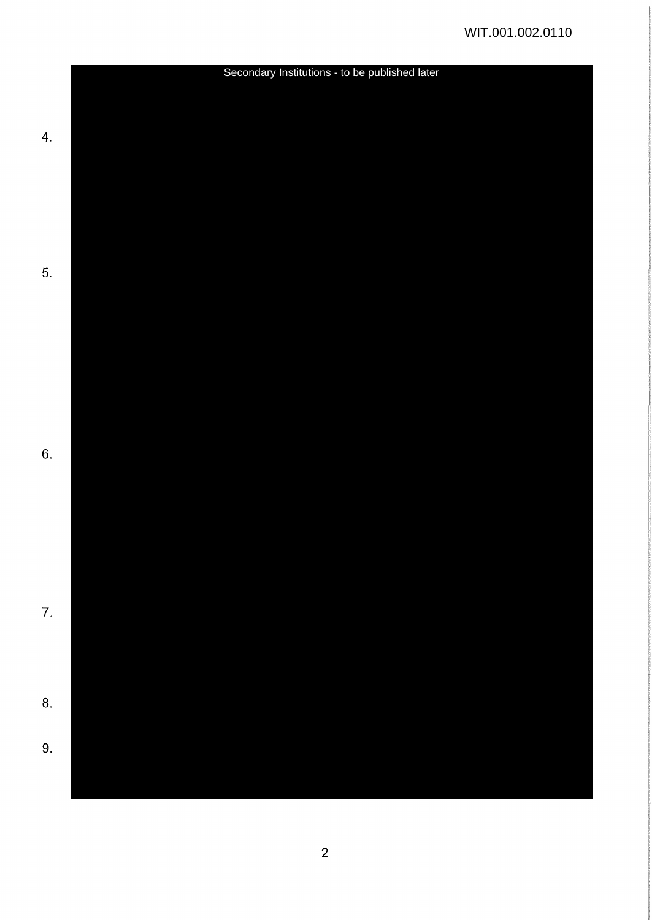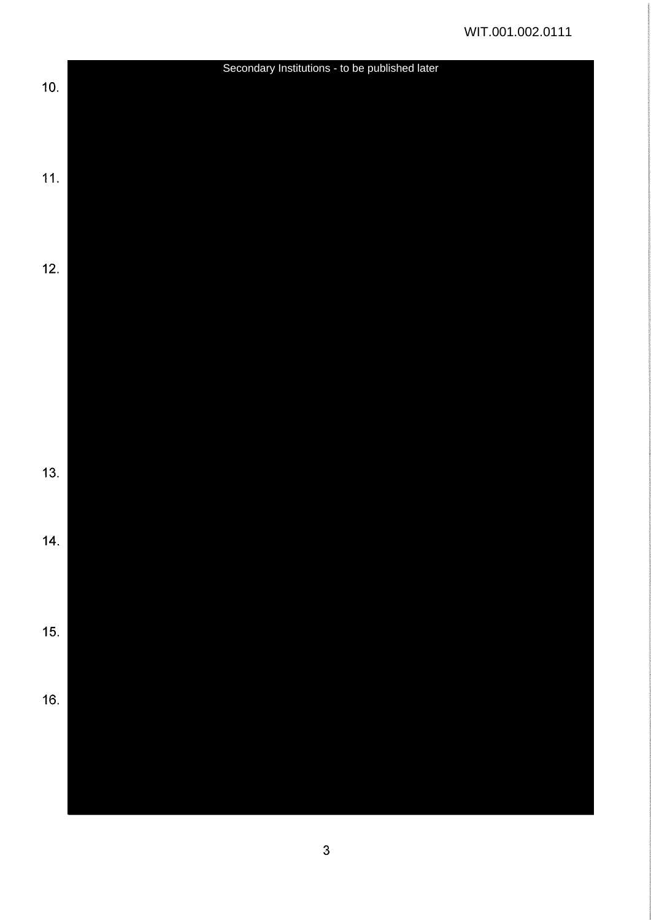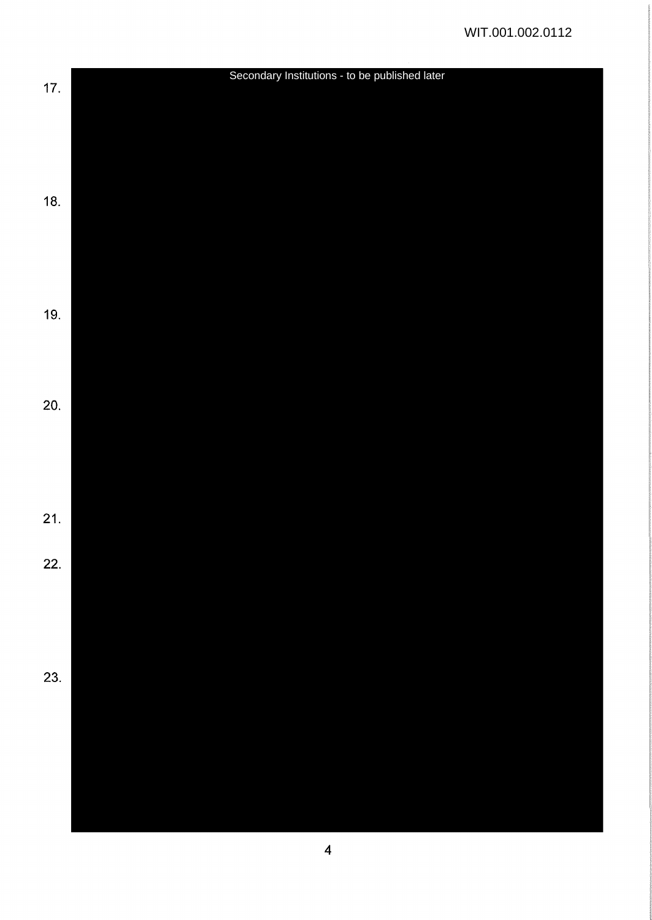|       | Secondary Institutions - to be published later |  |
|-------|------------------------------------------------|--|
| $17.$ |                                                |  |
|       |                                                |  |
|       |                                                |  |
|       |                                                |  |
|       |                                                |  |
| 18.   |                                                |  |
|       |                                                |  |
|       |                                                |  |
|       |                                                |  |
|       |                                                |  |
| 19.   |                                                |  |
|       |                                                |  |
|       |                                                |  |
|       |                                                |  |
| 20.   |                                                |  |
|       |                                                |  |
|       |                                                |  |
|       |                                                |  |
|       |                                                |  |
|       |                                                |  |
| 21.   |                                                |  |
|       |                                                |  |
| 22.   |                                                |  |
|       |                                                |  |
|       |                                                |  |
|       |                                                |  |
|       |                                                |  |
| 23.   |                                                |  |
|       |                                                |  |
|       |                                                |  |
|       |                                                |  |
|       |                                                |  |
|       |                                                |  |
|       |                                                |  |
|       |                                                |  |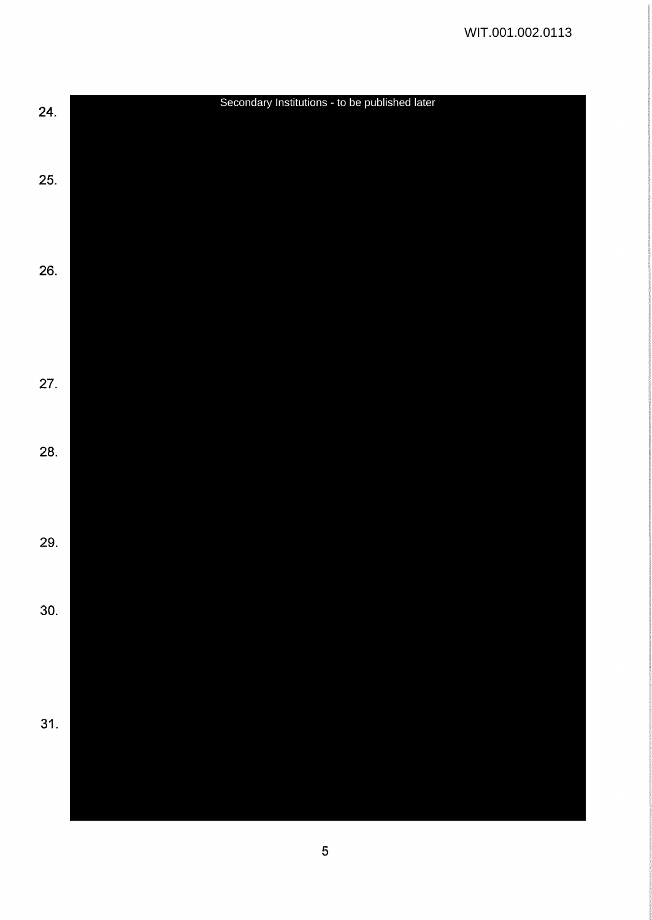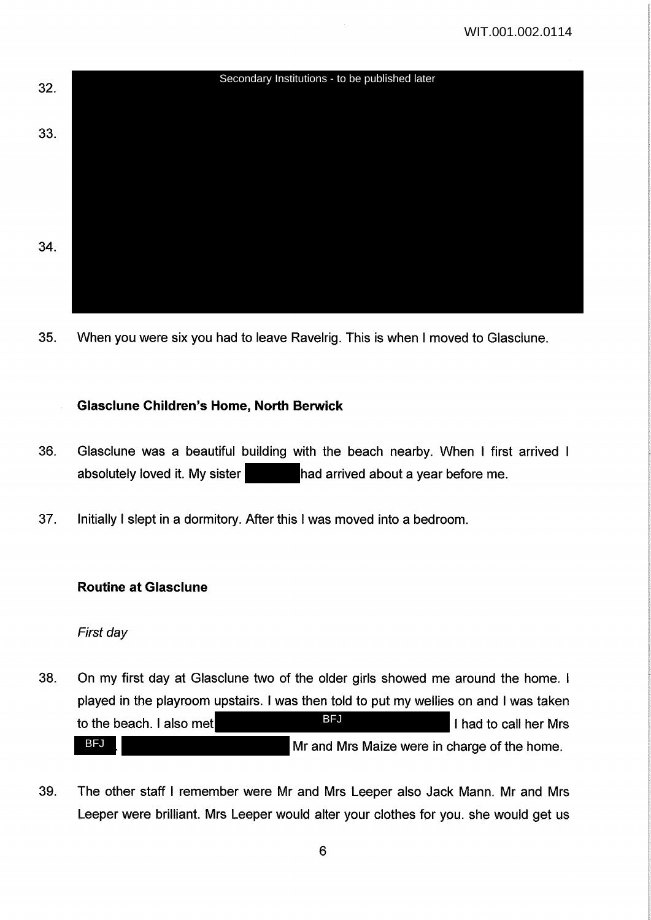WIT.001.002.0114



35. When you were six you had to leave Ravelrig. This is when I moved to Glasclune.

### **Glasclune Children's Home, North Berwick**

- 36. Glasclune was a beautiful building with the beach nearby. When I first arrived absolutely loved it. My sister had arrived about a year before me.
- 37. Initially I slept in a dormitory. After this I was moved into a bedroom.

### **Routine at Glasclune**

First day

- 38. On my first day at Glasclune two of the older girls showed me around the home. I played in the playroom upstairs. I was then told to put my wellies on and I was taken to the beach. I also met **I had to call her Mrs** I had to call her Mrs Mr and Mrs Maize were in charge of the home. BFJ BFJ
- 39. The other staff I remember were Mr and Mrs Leeper also Jack Mann. Mr and Mrs Leeper were brilliant. Mrs Leeper would alter your clothes for you. she would get us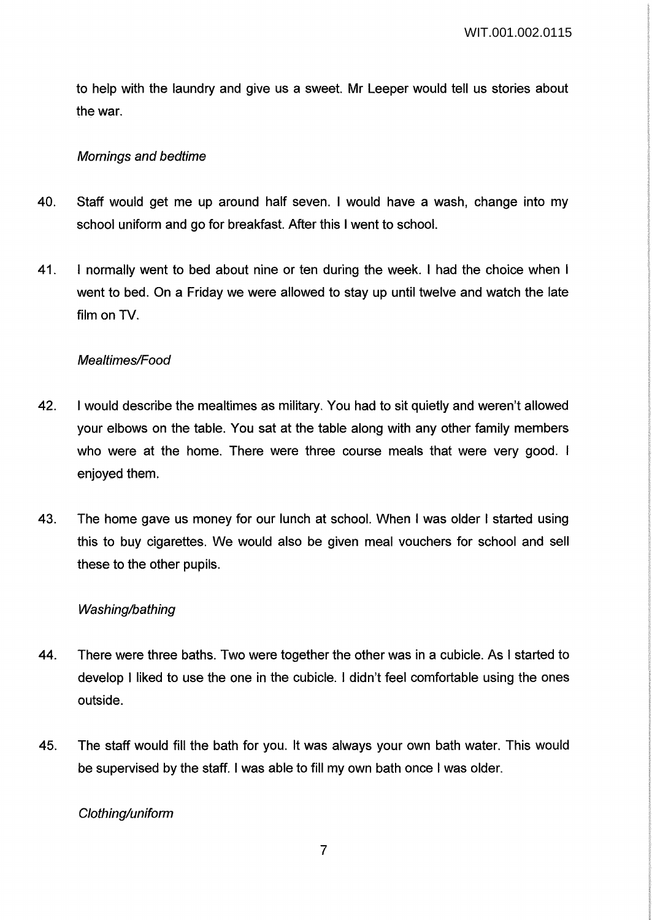to help with the laundry and give us a sweet. Mr Leeper would tell us stories about the war.

## Mornings and bedtime

- 40. Staff would get me up around half seven. I would have a wash, change into my school uniform and go for breakfast. After this I went to school.
- 41. I normally went to bed about nine or ten during the week. I had the choice when I went to bed. On a Friday we were allowed to stay up until twelve and watch the late film on TV.

### Mealtimes/Food

- 42. I would describe the mealtimes as military. You had to sit quietly and weren't allowed your elbows on the table. You sat at the table along with any other family members who were at the home. There were three course meals that were very good. I enjoyed them.
- 43. The home gave us money for our lunch at school. When I was older I started using this to buy cigarettes. We would also be given meal vouchers for school and sell these to the other pupils.

### Washing/bathing

- 44. There were three baths. Two were together the other was in a cubicle. As I started to develop I liked to use the one in the cubicle. I didn't feel comfortable using the ones outside.
- 45. The staff would fill the bath for you. It was always your own bath water. This would be supervised by the staff. I was able to fill my own bath once I was older.

Clothing/uniform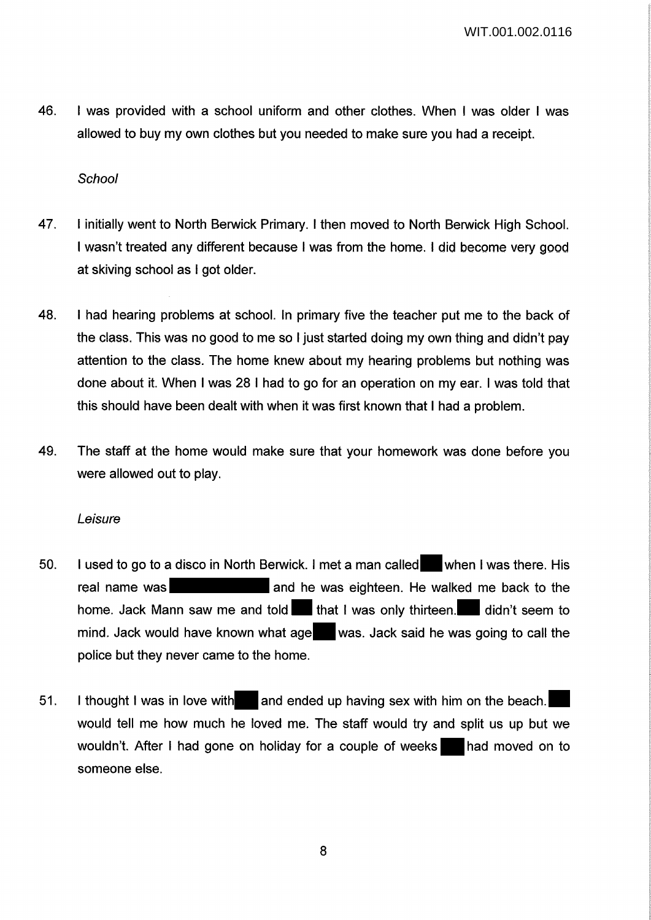46. I was provided with a school uniform and other clothes. When I was older I was allowed to buy my own clothes but you needed to make sure you had a receipt.

### **School**

- 47. I initially went to North Berwick Primary. I then moved to North Berwick High School. I wasn't treated any different because I was from the home. I did become very good at skiving school as I got older.
- 48. I had hearing problems at school. In primary five the teacher put me to the back of the class. This was no good to me so I just started doing my own thing and didn't pay attention to the class. The home knew about my hearing problems but nothing was done about it. When I was 28 I had to go for an operation on my ear. I was told that this should have been dealt with when it was first known that I had a problem.
- 49. The staff at the home would make sure that your homework was done before you were allowed out to play.

#### Leisure

- 50. I used to go to a disco in North Berwick. I met a man called when I was there. His real name was **and he was eighteen.** He walked me back to the home. Jack Mann saw me and told that I was only thirteen. didn't seem to mind. Jack would have known what age was. Jack said he was going to call the police but they never came to the home.
- 51. I thought I was in love with and ended up having sex with him on the beach. would tell me how much he loved me. The staff would try and split us up but we wouldn't. After I had gone on holiday for a couple of weeks had moved on to someone else.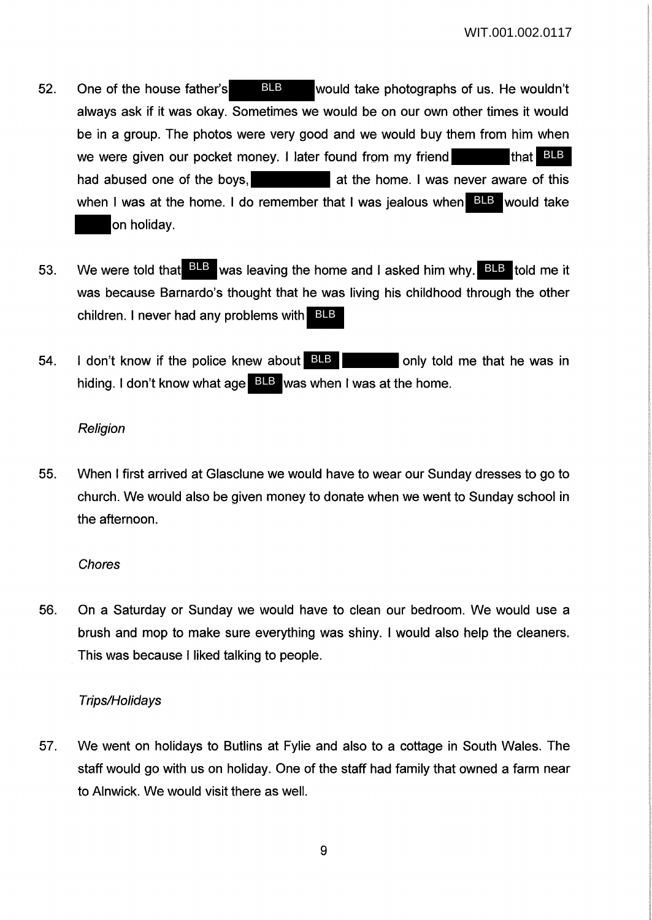- 52. One of the house father's **BLB** would take photographs of us. He wouldn't always ask if it was okay. Sometimes we would be on our own other times it would be in a group. The photos were very good and we would buy them from him when we were given our pocket money. I later found from my friend had abused one of the boys, and the home. I was never aware of this when I was at the home. I do remember that I was jealous when BLB would take on holiday. BLB that BLB
- 53. We were told that **BLB** was leaving the home and I asked him why. BLB told me it was because Barnardo's thought that he was living his childhood through the other children. I never had any problems with BLB
- 54. I don't know if the police knew about BLB can be only told me that he was in hiding. I don't know what age **BLB** was when I was at the home.

# **Religion**

55. When I first arrived at Glasclune we would have to wear our Sunday dresses to go to church. We would also be given money to donate when we went to Sunday school in the afternoon.

### **Chores**

56. On a Saturday or Sunday we would have to clean our bedroom. We would use a brush and mop to make sure everything was shiny. I would also help the cleaners. This was because I liked talking to people.

# Trips/Holidays

57. We went on holidays to Butlins at Fylie and also to a cottage in South Wales. The staff would go with us on holiday. One of the staff had family that owned a farm near to Alnwick. We would visit there as well.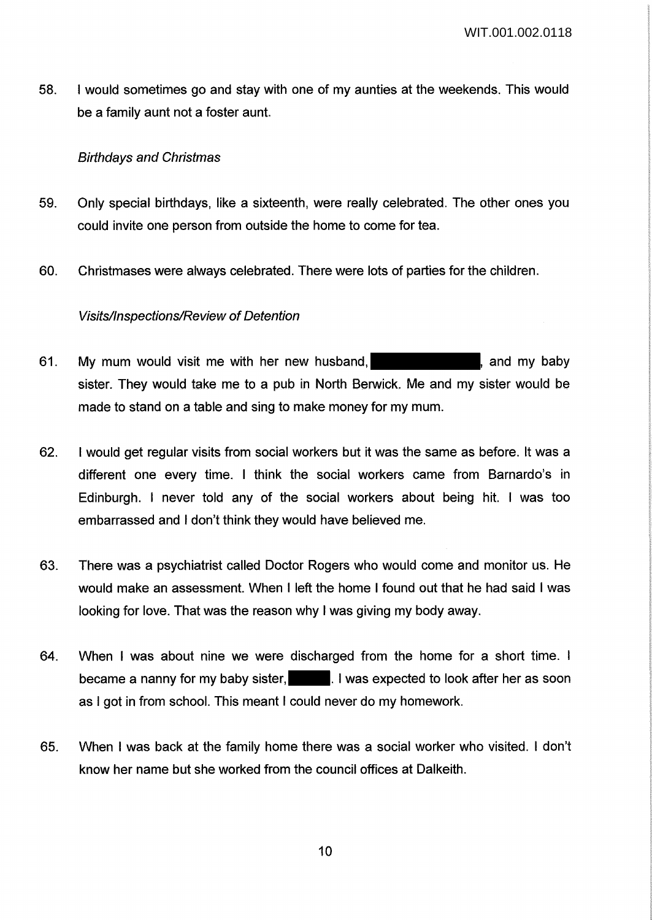58. I would sometimes go and stay with one of my aunties at the weekends. This would be a family aunt not a foster aunt.

### Birthdays and Christmas

- 59. Only special birthdays, like a sixteenth, were really celebrated. The other ones you could invite one person from outside the home to come for tea.
- 60. Christmases were always celebrated. There were lots of parties for the children.

### Visits/Inspections/Review of Detention

- 61. My mum would visit me with her new husband, **Example 2018**, and my baby sister. They would take me to a pub in North Berwick. Me and my sister would be made to stand on a table and sing to make money for my mum.
- 62. I would get regular visits from social workers but it was the same as before. It was a different one every time. I think the social workers came from Barnardo's in Edinburgh. I never told any of the social workers about being hit. I was too embarrassed and I don't think they would have believed me.
- 63. There was a psychiatrist called Doctor Rogers who would come and monitor us. He would make an assessment. When I left the home I found out that he had said I was looking for love. That was the reason why I was giving my body away.
- 64. When I was about nine we were discharged from the home for a short time. I became a nanny for my baby sister, **the set is used to look after her as soon** as I got in from school. This meant I could never do my homework.
- 65. When I was back at the family home there was a social worker who visited. I don't know her name but she worked from the council offices at Dalkeith.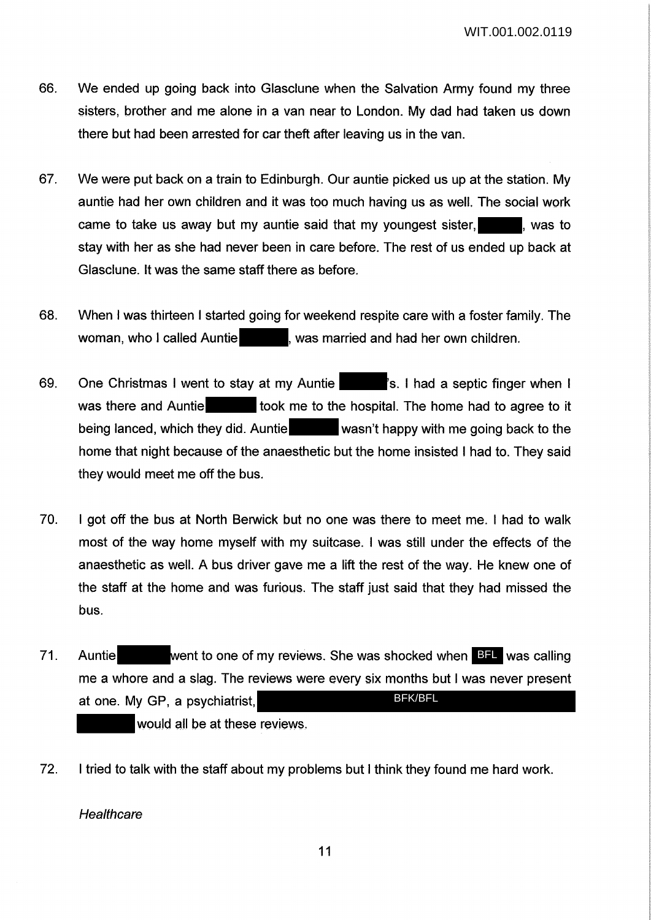- 66. We ended up going back into Glasclune when the Salvation Army found my three sisters, brother and me alone in a van near to London. My dad had taken us down there but had been arrested for car theft after leaving us in the van.
- 67. We were put back on a train to Edinburgh. Our auntie picked us up at the station. My auntie had her own children and it was too much having us as well. The social work came to take us away but my auntie said that my voungest sister.  $\Box$  was to stay with her as she had never been in care before. The rest of us ended up back at Glasclune. It was the same staff there as before.
- 68. When I was thirteen I started going for weekend respite care with a foster family. The woman, who I called Auntie **Auntie 1996**, was married and had her own children.
- 69. One Christmas I went to stay at my Auntie | The 's. I had a septic finger when I was there and Auntie **the took me to the hospital.** The home had to agree to it being lanced, which they did. Auntie wasn't happy with me going back to the home that night because of the anaesthetic but the home insisted I had to. They said they would meet me off the bus.
- 70. I got off the bus at North Berwick but no one was there to meet me. I had to walk most of the way home myself with my suitcase. I was still under the effects of the anaesthetic as well. A bus driver gave me a lift the rest of the way. He knew one of the staff at the home and was furious. The staff just said that they had missed the bus.
- 71. Auntie **comet went to one of my reviews. She was shocked when BFL** was calling me a whore and a slag. The reviews were every six months but I was never present at one. My GP, a psychiatrist, would all be at these reviews. BFK/BFL
- 72. I tried to talk with the staff about my problems but I think they found me hard work.

**Healthcare**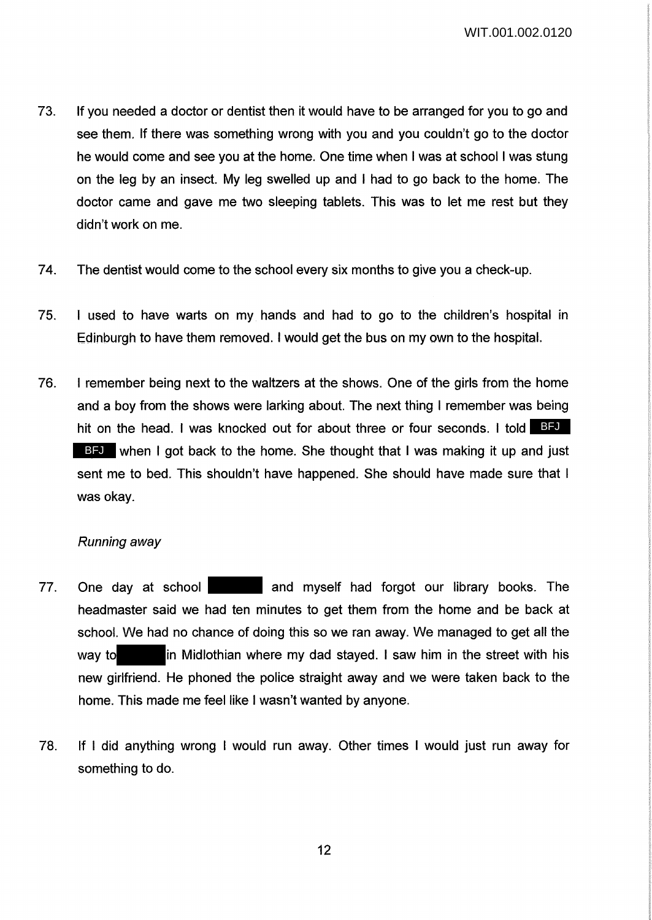WIT.001.002.0120

- 73. If you needed a doctor or dentist then it would have to be arranged for you to go and see them. If there was something wrong with you and you couldn't go to the doctor he would come and see you at the home. One time when I was at school I was stung on the leg by an insect. My leg swelled up and I had to go back to the home. The doctor came and gave me two sleeping tablets. This was to let me rest but they didn't work on me.
- 74. The dentist would come to the school every six months to give you a check-up.
- 75. I used to have warts on my hands and had to go to the children's hospital in Edinburgh to have them removed. I would get the bus on my own to the hospital.
- 76. I remember being next to the waltzers at the shows. One of the girls from the home and a boy from the shows were larking about. The next thing I remember was being hit on the head. I was knocked out for about three or four seconds. I told BFU BFJ when I got back to the home. She thought that I was making it up and just sent me to bed. This shouldn't have happened. She should have made sure that I was okay.

### Running away

- 77. One day at school **and myself had forgot our library books**. The headmaster said we had ten minutes to get them from the home and be back at school. We had no chance of doing this so we ran away. We managed to get all the way to in Midlothian where my dad stayed. I saw him in the street with his new girlfriend. He phoned the police straight away and we were taken back to the home. This made me feel like I wasn't wanted by anyone.
- 78. If I did anything wrong I would run away. Other times I would just run away for something to do.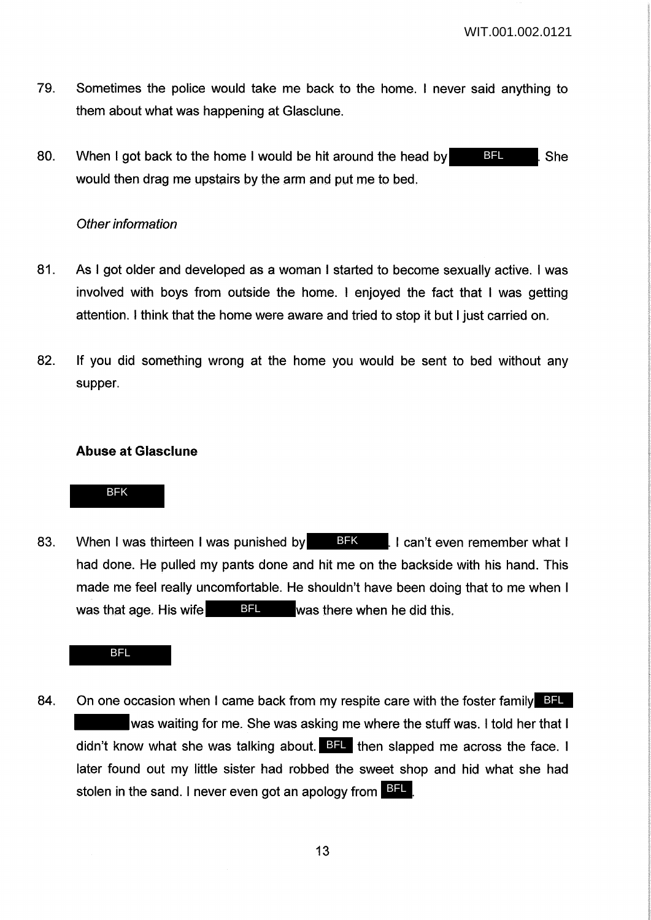- 79. Sometimes the police would take me back to the home. I never said anything to them about what was happening at Glasclune.
- 80. When I got back to the home I would be hit around the head by  $\Box$  She would then drag me upstairs by the arm and put me to bed. BFL

### Other information

- 81. As I got older and developed as a woman I started to become sexually active. I was involved with boys from outside the home. I enjoyed the fact that I was getting attention. I think that the home were aware and tried to stop it but I just carried on.
- 82. If you did something wrong at the home you would be sent to bed without any supper.

### **Abuse at Glasclune**

### BFK

83. When I was thirteen I was punished by **BFK** . I can't even remember what I had done. He pulled my pants done and hit me on the backside with his hand. This made me feel really uncomfortable. He shouldn't have been doing that to me when I was that age. His wife  $BFL$  was there when he did this.

#### BFL

84. On one occasion when I came back from my respite care with the foster family BFL was waiting for me. She was asking me where the stuff was. I told her that I didn't know what she was talking about. BFL then slapped me across the face. I later found out my little sister had robbed the sweet shop and hid what she had stolen in the sand. I never even got an apology from **BFL**.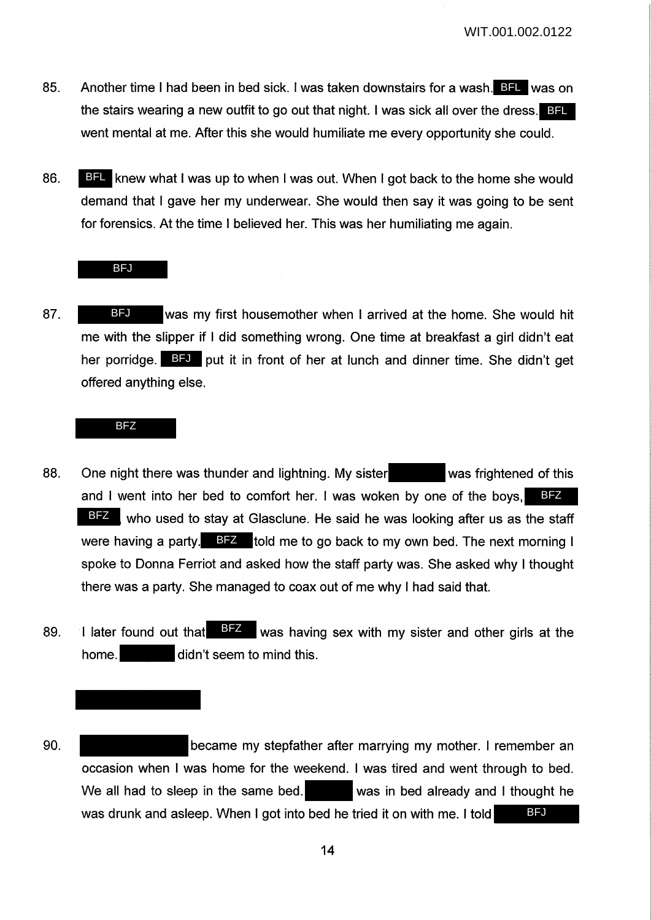- 85. Another time I had been in bed sick. I was taken downstairs for a wash. BFL was on the stairs wearing a new outfit to go out that night. I was sick all over the dress. BFL went mental at me. After this she would humiliate me every opportunity she could.
- 86. BFL knew what I was up to when I was out. When I got back to the home she would demand that I gave her my underwear. She would then say it was going to be sent for forensics. At the time I believed her. This was her humiliating me again.

#### BFJ

87. BFU was my first housemother when I arrived at the home. She would hit me with the slipper if I did something wrong. One time at breakfast a girl didn't eat her porridge. BFJ put it in front of her at lunch and dinner time. She didn't get offered anything else.

#### BFZ

- 88. One night there was thunder and lightning. My sister was frightened of this and I went into her bed to comfort her. I was woken by one of the boys, BFZ BFZ, who used to stay at Glasclune. He said he was looking after us as the staff were having a party. BFZ told me to go back to my own bed. The next morning I spoke to Donna Ferriot and asked how the staff party was. She asked why I thought there was a party. She managed to coax out of me why I had said that.
- 89. I later found out that  $\frac{BZ}{B}$  was having sex with my sister and other girls at the home. didn't seem to mind this.
- 90. became my stepfather after marrying my mother. I remember an occasion when I was home for the weekend. I was tired and went through to bed. We all had to sleep in the same bed. was in bed already and I thought he was drunk and asleep. When I got into bed he tried it on with me. I told **BFJ**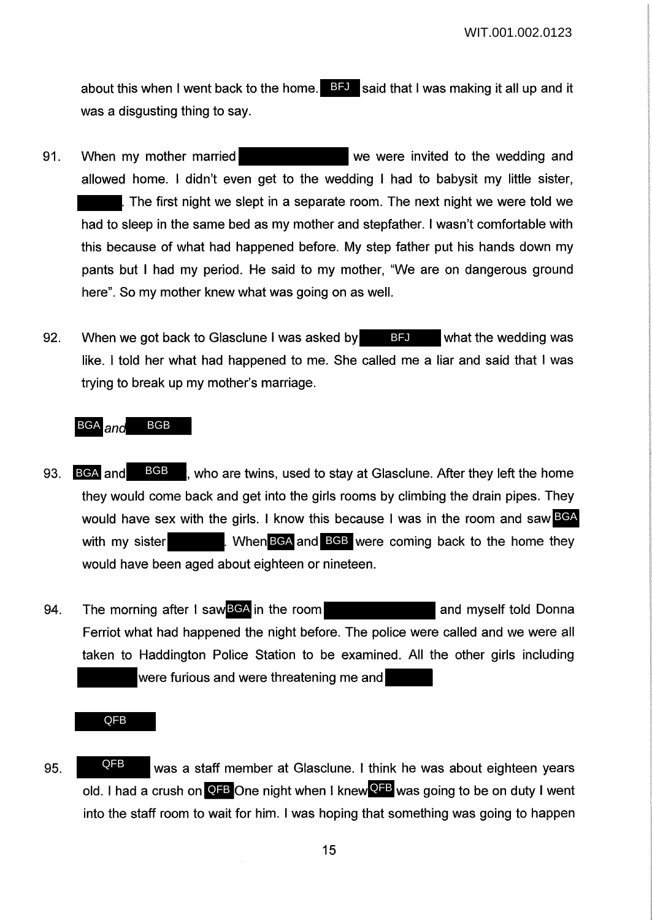about this when I went back to the home. BFJ said that I was making it all up and it was a disgusting thing to say.

- 91. When my mother married we were invited to the wedding and allowed home. I didn't even get to the wedding I had to babysit my little sister, The first night we slept in a separate room. The next night we were told we had to sleep in the same bed as my mother and stepfather. I wasn't comfortable with this because of what had happened before. My step father put his hands down my pants but I had my period. He said to my mother, "We are on dangerous ground here". So my mother knew what was going on as well.
- 92. When we got back to Glasclune I was asked by **BFU** what the wedding was like. I told her what had happened to me. She called me a liar and said that I was trying to break up my mother's marriage.

#### BGA <sub>an</sub> BGB

- 93. BGA and BGB, who are twins, used to stay at Glasclune. After they left the home they would come back and get into the girls rooms by climbing the drain pipes. They would have sex with the girls. I know this because I was in the room and saw BGA with my sister **EXELL When BGA and BGB** were coming back to the home they would have been aged about eighteen or nineteen. BGA and BGB
- 94. The morning after I saw BGA in the room **and myself told Donna** Ferriot what had happened the night before. The police were called and we were all taken to Haddington Police Station to be examined. All the other girls including were furious and were threatening me and

QFB

95. **WALK STARK WAS A STARK MEMBER AT GLASCIUME.** I think he was about eighteen years old. I had a crush on **QFB** One night when I knew <sup>QFB</sup> was going to be on duty I went into the staff room to wait for him. I was hoping that something was going to happen QFB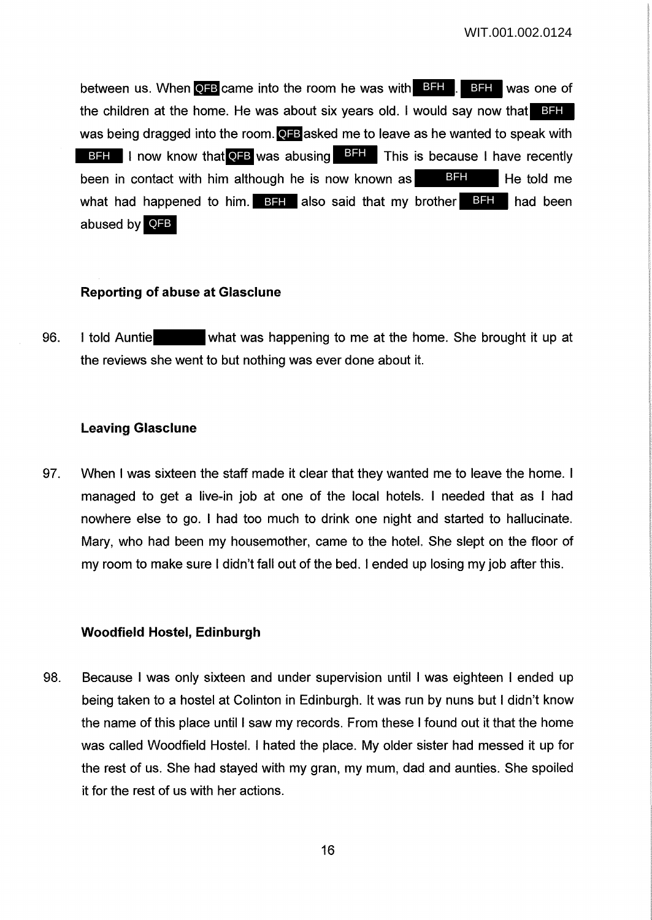between us. When **QFB** came into the room he was with **BFH**. BFH was one of the children at the home. He was about six years old. I would say now that BFH was being dragged into the room. **QFB** asked me to leave as he wanted to speak with BFH I now know that **QFB** was abusing **BFH** This is because I have recently been in contact with him although he is now known as  $\Box$  He told me what had happened to him. BFH also said that my brother BFH had been abused by QFB BFH

### **Reporting of abuse at Glasclune**

96. I told Auntie what was happening to me at the home. She brought it up at the reviews she went to but nothing was ever done about it.

### **Leaving Glasclune**

97. When I was sixteen the staff made it clear that they wanted me to leave the home. I managed to get a live-in job at one of the local hotels. I needed that as I had nowhere else to go. I had too much to drink one night and started to hallucinate. Mary, who had been my housemother, came to the hotel. She slept on the floor of my room to make sure I didn't fall out of the bed. I ended up losing my job after this.

# **Woodfield Hostel, Edinburgh**

98. Because I was only sixteen and under supervision until I was eighteen I ended up being taken to a hostel at Colinton in Edinburgh. It was run by nuns but I didn't know the name of this place until I saw my records. From these I found out it that the home was called Woodfield Hostel. I hated the place. My older sister had messed it up for the rest of us. She had stayed with my gran, my mum, dad and aunties. She spoiled it for the rest of us with her actions.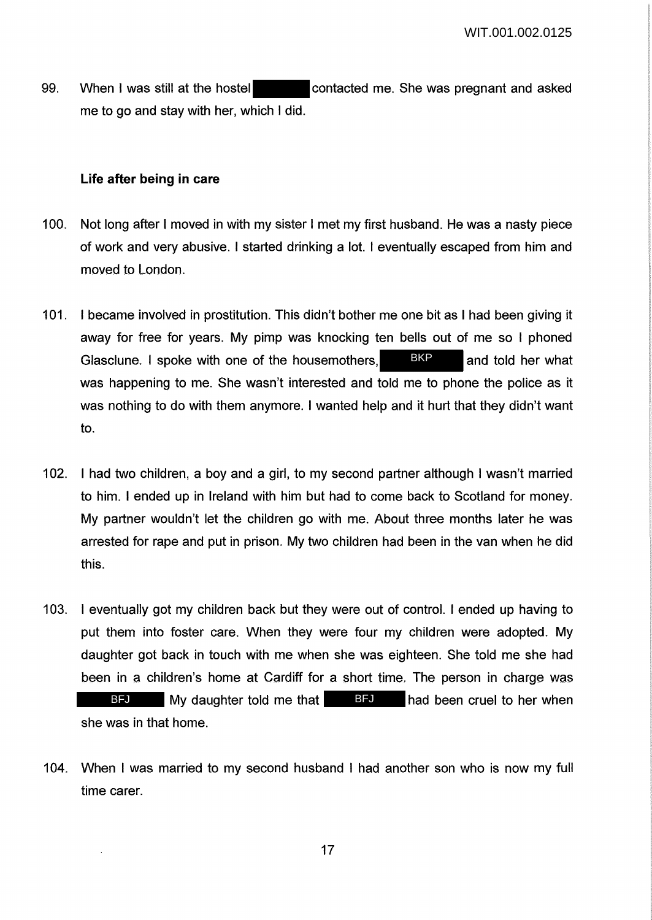99. When I was still at the hostel contacted me. She was pregnant and asked me to go and stay with her, which I did.

### **Life after being in care**

- 100. Not long after I moved in with my sister I met my first husband. He was a nasty piece of work and very abusive. I started drinking a lot. I eventually escaped from him and moved to London.
- 101. I became involved in prostitution. This didn't bother me one bit as I had been giving it away for free for years. My pimp was knocking ten bells out of me so I phoned Glasclune. I spoke with one of the housemothers, BKP and told her what was happening to me. She wasn't interested and told me to phone the police as it was nothing to do with them anymore. I wanted help and it hurt that they didn't want to.
- 102. I had two children, a boy and a girl, to my second partner although I wasn't married to him. I ended up in Ireland with him but had to come back to Scotland for money. My partner wouldn't let the children go with me. About three months later he was arrested for rape and put in prison. My two children had been in the van when he did this.
- 103. I eventually got my children back but they were out of control. I ended up having to put them into foster care. When they were four my children were adopted. My daughter got back in touch with me when she was eighteen. She told me she had been in a children's home at Cardiff for a short time. The person in charge was BFJ My daughter told me that BFJ had been cruel to her when she was in that home.
- 104. When I was married to my second husband I had another son who is now my full time carer.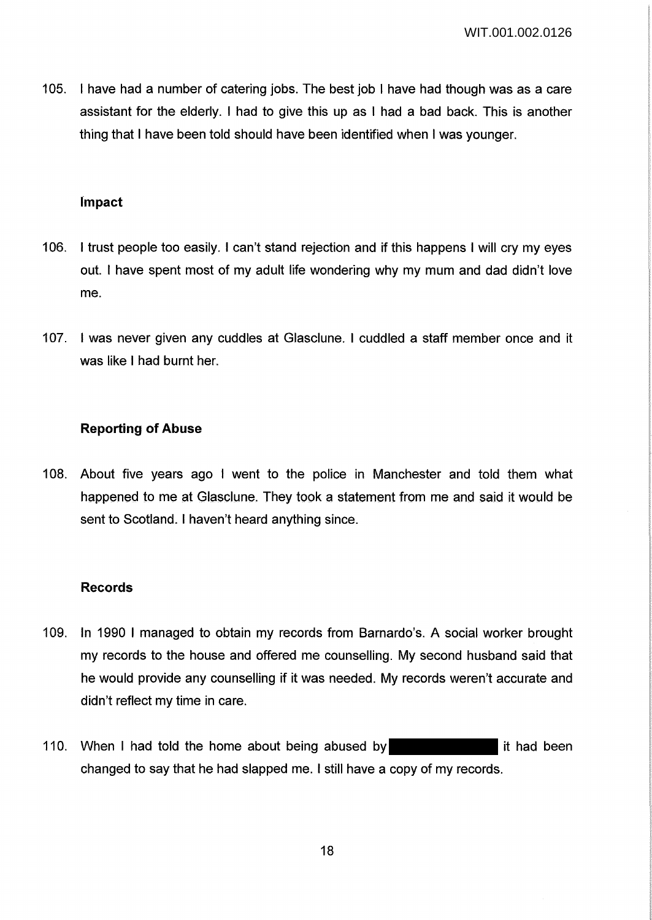105. I have had a number of catering jobs. The best job I have had though was as a care assistant for the elderly. I had to give this up as I had a bad back. This is another thing that I have been told should have been identified when I was younger.

### **Jmpact**

- 106. I trust people too easily. I can't stand rejection and if this happens I will cry my eyes out. I have spent most of my adult life wondering why my mum and dad didn't love me.
- 107. I was never given any cuddles at Glasclune. I cuddled a staff member once and it was like I had burnt her.

### **Reporting of Abuse**

108. About five years ago I went to the police in Manchester and told them what happened to me at Glasclune. They took a statement from me and said it would be sent to Scotland. I haven't heard anything since.

### **Records**

- 109. In 1990 I managed to obtain my records from Barnardo's. A social worker brought my records to the house and offered me counselling. My second husband said that he would provide any counselling if it was needed. My records weren't accurate and didn't reflect my time in care.
- 110. When I had told the home about being abused by **it is a state of the been** changed to say that he had slapped me. I still have a copy of my records.